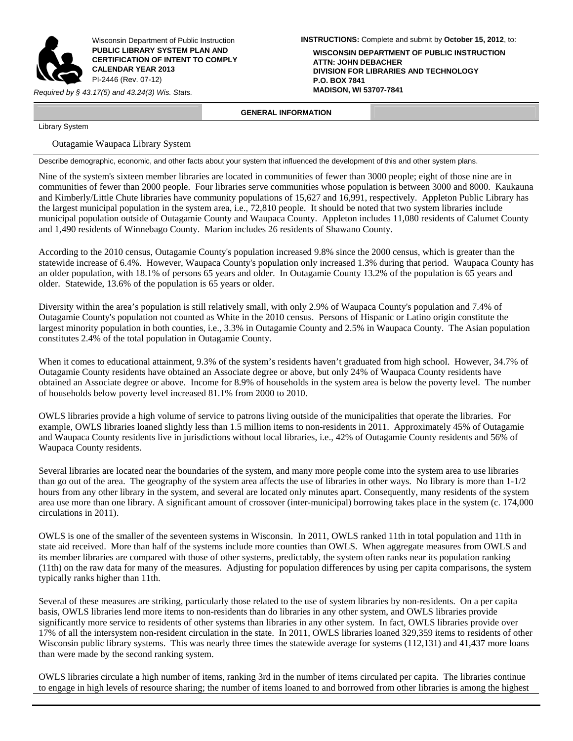

Wisconsin Department of Public Instruction **PUBLIC LIBRARY SYSTEM PLAN AND CERTIFICATION OF INTENT TO COMPLY CALENDAR YEAR 2013**  PI-2446 (Rev. 07-12)

*Required by § 43.17(5) and 43.24(3) Wis. Stats.* **MADISON, WI 53707-7841**

**INSTRUCTIONS:** Complete and submit by **October 15, 2012**, to:

**WISCONSIN DEPARTMENT OF PUBLIC INSTRUCTION ATTN: JOHN DEBACHER DIVISION FOR LIBRARIES AND TECHNOLOGY P.O. BOX 7841**

 **GENERAL INFORMATION** 

Library System

Outagamie Waupaca Library System

Describe demographic, economic, and other facts about your system that influenced the development of this and other system plans.

Nine of the system's sixteen member libraries are located in communities of fewer than 3000 people; eight of those nine are in communities of fewer than 2000 people. Four libraries serve communities whose population is between 3000 and 8000. Kaukauna and Kimberly/Little Chute libraries have community populations of 15,627 and 16,991, respectively. Appleton Public Library has the largest municipal population in the system area, i.e., 72,810 people. It should be noted that two system libraries include municipal population outside of Outagamie County and Waupaca County. Appleton includes 11,080 residents of Calumet County and 1,490 residents of Winnebago County. Marion includes 26 residents of Shawano County.

According to the 2010 census, Outagamie County's population increased 9.8% since the 2000 census, which is greater than the statewide increase of 6.4%. However, Waupaca County's population only increased 1.3% during that period. Waupaca County has an older population, with 18.1% of persons 65 years and older. In Outagamie County 13.2% of the population is 65 years and older. Statewide, 13.6% of the population is 65 years or older.

Diversity within the area's population is still relatively small, with only 2.9% of Waupaca County's population and 7.4% of Outagamie County's population not counted as White in the 2010 census. Persons of Hispanic or Latino origin constitute the largest minority population in both counties, i.e., 3.3% in Outagamie County and 2.5% in Waupaca County. The Asian population constitutes 2.4% of the total population in Outagamie County.

When it comes to educational attainment, 9.3% of the system's residents haven't graduated from high school. However, 34.7% of Outagamie County residents have obtained an Associate degree or above, but only 24% of Waupaca County residents have obtained an Associate degree or above. Income for 8.9% of households in the system area is below the poverty level. The number of households below poverty level increased 81.1% from 2000 to 2010.

OWLS libraries provide a high volume of service to patrons living outside of the municipalities that operate the libraries. For example, OWLS libraries loaned slightly less than 1.5 million items to non-residents in 2011. Approximately 45% of Outagamie and Waupaca County residents live in jurisdictions without local libraries, i.e., 42% of Outagamie County residents and 56% of Waupaca County residents.

Several libraries are located near the boundaries of the system, and many more people come into the system area to use libraries than go out of the area. The geography of the system area affects the use of libraries in other ways. No library is more than  $1-1/2$ hours from any other library in the system, and several are located only minutes apart. Consequently, many residents of the system area use more than one library. A significant amount of crossover (inter-municipal) borrowing takes place in the system (c. 174,000 circulations in 2011).

OWLS is one of the smaller of the seventeen systems in Wisconsin. In 2011, OWLS ranked 11th in total population and 11th in state aid received. More than half of the systems include more counties than OWLS. When aggregate measures from OWLS and its member libraries are compared with those of other systems, predictably, the system often ranks near its population ranking (11th) on the raw data for many of the measures. Adjusting for population differences by using per capita comparisons, the system typically ranks higher than 11th.

Several of these measures are striking, particularly those related to the use of system libraries by non-residents. On a per capita basis, OWLS libraries lend more items to non-residents than do libraries in any other system, and OWLS libraries provide significantly more service to residents of other systems than libraries in any other system. In fact, OWLS libraries provide over 17% of all the intersystem non-resident circulation in the state. In 2011, OWLS libraries loaned 329,359 items to residents of other Wisconsin public library systems. This was nearly three times the statewide average for systems (112,131) and 41,437 more loans than were made by the second ranking system.

OWLS libraries circulate a high number of items, ranking 3rd in the number of items circulated per capita. The libraries continue to engage in high levels of resource sharing; the number of items loaned to and borrowed from other libraries is among the highest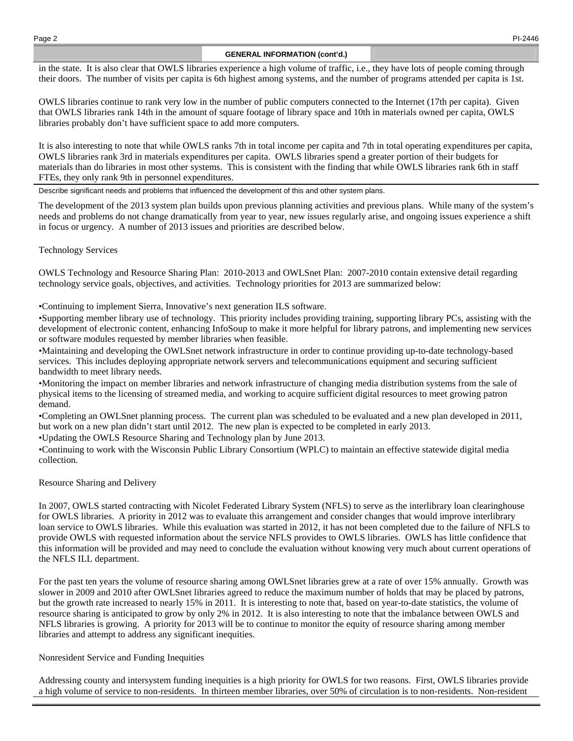## **GENERAL INFORMATION (cont'd.)**

in the state. It is also clear that OWLS libraries experience a high volume of traffic, i.e., they have lots of people coming through their doors. The number of visits per capita is 6th highest among systems, and the number of programs attended per capita is 1st.

OWLS libraries continue to rank very low in the number of public computers connected to the Internet (17th per capita). Given that OWLS libraries rank 14th in the amount of square footage of library space and 10th in materials owned per capita, OWLS libraries probably don't have sufficient space to add more computers.

It is also interesting to note that while OWLS ranks 7th in total income per capita and 7th in total operating expenditures per capita, OWLS libraries rank 3rd in materials expenditures per capita. OWLS libraries spend a greater portion of their budgets for materials than do libraries in most other systems. This is consistent with the finding that while OWLS libraries rank 6th in staff FTEs, they only rank 9th in personnel expenditures.

Describe significant needs and problems that influenced the development of this and other system plans.

The development of the 2013 system plan builds upon previous planning activities and previous plans. While many of the system's needs and problems do not change dramatically from year to year, new issues regularly arise, and ongoing issues experience a shift in focus or urgency. A number of 2013 issues and priorities are described below.

Technology Services

OWLS Technology and Resource Sharing Plan: 2010-2013 and OWLSnet Plan: 2007-2010 contain extensive detail regarding technology service goals, objectives, and activities. Technology priorities for 2013 are summarized below:

•Continuing to implement Sierra, Innovative's next generation ILS software.

•Supporting member library use of technology. This priority includes providing training, supporting library PCs, assisting with the development of electronic content, enhancing InfoSoup to make it more helpful for library patrons, and implementing new services or software modules requested by member libraries when feasible.

•Maintaining and developing the OWLSnet network infrastructure in order to continue providing up-to-date technology-based services. This includes deploying appropriate network servers and telecommunications equipment and securing sufficient bandwidth to meet library needs.

•Monitoring the impact on member libraries and network infrastructure of changing media distribution systems from the sale of physical items to the licensing of streamed media, and working to acquire sufficient digital resources to meet growing patron demand.

•Completing an OWLSnet planning process. The current plan was scheduled to be evaluated and a new plan developed in 2011, but work on a new plan didn't start until 2012. The new plan is expected to be completed in early 2013.

•Updating the OWLS Resource Sharing and Technology plan by June 2013.

•Continuing to work with the Wisconsin Public Library Consortium (WPLC) to maintain an effective statewide digital media collection.

Resource Sharing and Delivery

In 2007, OWLS started contracting with Nicolet Federated Library System (NFLS) to serve as the interlibrary loan clearinghouse for OWLS libraries. A priority in 2012 was to evaluate this arrangement and consider changes that would improve interlibrary loan service to OWLS libraries. While this evaluation was started in 2012, it has not been completed due to the failure of NFLS to provide OWLS with requested information about the service NFLS provides to OWLS libraries. OWLS has little confidence that this information will be provided and may need to conclude the evaluation without knowing very much about current operations of the NFLS ILL department.

For the past ten years the volume of resource sharing among OWLSnet libraries grew at a rate of over 15% annually. Growth was slower in 2009 and 2010 after OWLSnet libraries agreed to reduce the maximum number of holds that may be placed by patrons, but the growth rate increased to nearly 15% in 2011. It is interesting to note that, based on year-to-date statistics, the volume of resource sharing is anticipated to grow by only 2% in 2012. It is also interesting to note that the imbalance between OWLS and NFLS libraries is growing. A priority for 2013 will be to continue to monitor the equity of resource sharing among member libraries and attempt to address any significant inequities.

Nonresident Service and Funding Inequities

Addressing county and intersystem funding inequities is a high priority for OWLS for two reasons. First, OWLS libraries provide a high volume of service to non-residents. In thirteen member libraries, over 50% of circulation is to non-residents. Non-resident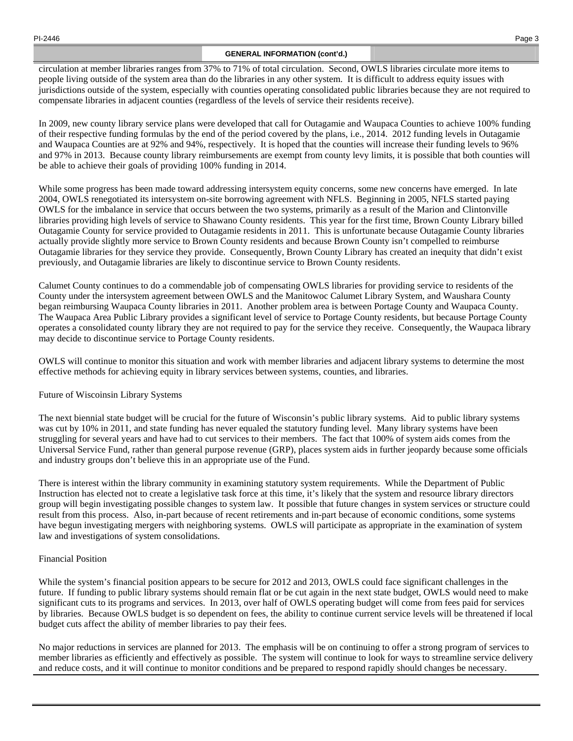## **GENERAL INFORMATION (cont'd.)**

circulation at member libraries ranges from 37% to 71% of total circulation. Second, OWLS libraries circulate more items to people living outside of the system area than do the libraries in any other system. It is difficult to address equity issues with jurisdictions outside of the system, especially with counties operating consolidated public libraries because they are not required to compensate libraries in adjacent counties (regardless of the levels of service their residents receive).

In 2009, new county library service plans were developed that call for Outagamie and Waupaca Counties to achieve 100% funding of their respective funding formulas by the end of the period covered by the plans, i.e., 2014. 2012 funding levels in Outagamie and Waupaca Counties are at 92% and 94%, respectively. It is hoped that the counties will increase their funding levels to 96% and 97% in 2013. Because county library reimbursements are exempt from county levy limits, it is possible that both counties will be able to achieve their goals of providing 100% funding in 2014.

While some progress has been made toward addressing intersystem equity concerns, some new concerns have emerged. In late 2004, OWLS renegotiated its intersystem on-site borrowing agreement with NFLS. Beginning in 2005, NFLS started paying OWLS for the imbalance in service that occurs between the two systems, primarily as a result of the Marion and Clintonville libraries providing high levels of service to Shawano County residents. This year for the first time, Brown County Library billed Outagamie County for service provided to Outagamie residents in 2011. This is unfortunate because Outagamie County libraries actually provide slightly more service to Brown County residents and because Brown County isn't compelled to reimburse Outagamie libraries for they service they provide. Consequently, Brown County Library has created an inequity that didn't exist previously, and Outagamie libraries are likely to discontinue service to Brown County residents.

Calumet County continues to do a commendable job of compensating OWLS libraries for providing service to residents of the County under the intersystem agreement between OWLS and the Manitowoc Calumet Library System, and Waushara County began reimbursing Waupaca County libraries in 2011. Another problem area is between Portage County and Waupaca County. The Waupaca Area Public Library provides a significant level of service to Portage County residents, but because Portage County operates a consolidated county library they are not required to pay for the service they receive. Consequently, the Waupaca library may decide to discontinue service to Portage County residents.

OWLS will continue to monitor this situation and work with member libraries and adjacent library systems to determine the most effective methods for achieving equity in library services between systems, counties, and libraries.

## Future of Wiscoinsin Library Systems

The next biennial state budget will be crucial for the future of Wisconsin's public library systems. Aid to public library systems was cut by 10% in 2011, and state funding has never equaled the statutory funding level. Many library systems have been struggling for several years and have had to cut services to their members. The fact that 100% of system aids comes from the Universal Service Fund, rather than general purpose revenue (GRP), places system aids in further jeopardy because some officials and industry groups don't believe this in an appropriate use of the Fund.

There is interest within the library community in examining statutory system requirements. While the Department of Public Instruction has elected not to create a legislative task force at this time, it's likely that the system and resource library directors group will begin investigating possible changes to system law. It possible that future changes in system services or structure could result from this process. Also, in-part because of recent retirements and in-part because of economic conditions, some systems have begun investigating mergers with neighboring systems. OWLS will participate as appropriate in the examination of system law and investigations of system consolidations.

## Financial Position

While the system's financial position appears to be secure for 2012 and 2013, OWLS could face significant challenges in the future. If funding to public library systems should remain flat or be cut again in the next state budget, OWLS would need to make significant cuts to its programs and services. In 2013, over half of OWLS operating budget will come from fees paid for services by libraries. Because OWLS budget is so dependent on fees, the ability to continue current service levels will be threatened if local budget cuts affect the ability of member libraries to pay their fees.

No major reductions in services are planned for 2013. The emphasis will be on continuing to offer a strong program of services to member libraries as efficiently and effectively as possible. The system will continue to look for ways to streamline service delivery and reduce costs, and it will continue to monitor conditions and be prepared to respond rapidly should changes be necessary.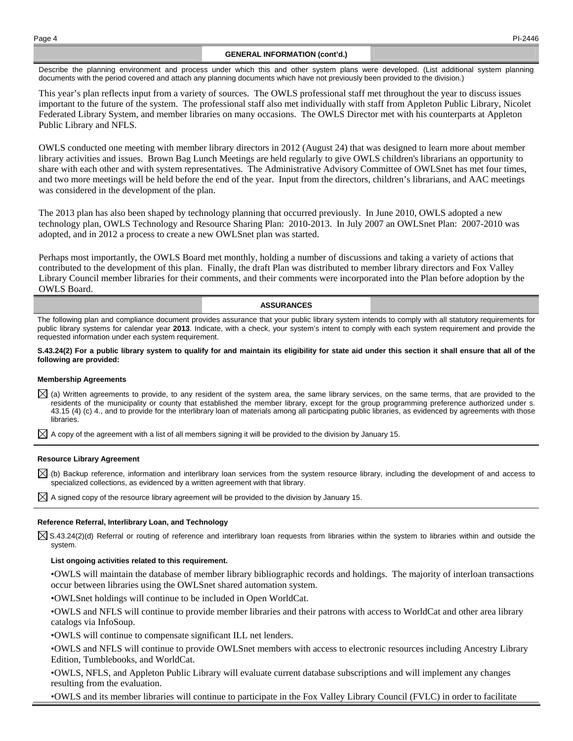## **GENERAL INFORMATION (cont'd.)**

Describe the planning environment and process under which this and other system plans were developed. (List additional system planning documents with the period covered and attach any planning documents which have not previously been provided to the division.)

This year's plan reflects input from a variety of sources. The OWLS professional staff met throughout the year to discuss issues important to the future of the system. The professional staff also met individually with staff from Appleton Public Library, Nicolet Federated Library System, and member libraries on many occasions. The OWLS Director met with his counterparts at Appleton Public Library and NFLS.

OWLS conducted one meeting with member library directors in 2012 (August 24) that was designed to learn more about member library activities and issues. Brown Bag Lunch Meetings are held regularly to give OWLS children's librarians an opportunity to share with each other and with system representatives. The Administrative Advisory Committee of OWLSnet has met four times, and two more meetings will be held before the end of the year. Input from the directors, children's librarians, and AAC meetings was considered in the development of the plan.

The 2013 plan has also been shaped by technology planning that occurred previously. In June 2010, OWLS adopted a new technology plan, OWLS Technology and Resource Sharing Plan: 2010-2013. In July 2007 an OWLSnet Plan: 2007-2010 was adopted, and in 2012 a process to create a new OWLSnet plan was started.

Perhaps most importantly, the OWLS Board met monthly, holding a number of discussions and taking a variety of actions that contributed to the development of this plan. Finally, the draft Plan was distributed to member library directors and Fox Valley Library Council member libraries for their comments, and their comments were incorporated into the Plan before adoption by the OWLS Board.

### **ASSURANCES**

The following plan and compliance document provides assurance that your public library system intends to comply with all statutory requirements for public library systems for calendar year **2013**. Indicate, with a check, your system's intent to comply with each system requirement and provide the requested information under each system requirement.

### **S.43.24(2) For a public library system to qualify for and maintain its eligibility for state aid under this section it shall ensure that all of the following are provided:**

## **Membership Agreements**

 $\boxtimes$  (a) Written agreements to provide, to any resident of the system area, the same library services, on the same terms, that are provided to the residents of the municipality or county that established the member library, except for the group programming preference authorized under s. 43.15 (4) (c) 4., and to provide for the interlibrary loan of materials among all participating public libraries, as evidenced by agreements with those libraries.

 $\boxtimes$  A copy of the agreement with a list of all members signing it will be provided to the division by January 15.

### **Resource Library Agreement**

 $\boxtimes$  (b) Backup reference, information and interlibrary loan services from the system resource library, including the development of and access to specialized collections, as evidenced by a written agreement with that library.

 $\boxtimes$  A signed copy of the resource library agreement will be provided to the division by January 15.

### **Reference Referral, Interlibrary Loan, and Technology**

 $\boxtimes$  S.43.24(2)(d) Referral or routing of reference and interlibrary loan requests from libraries within the system to libraries within and outside the system.

### **List ongoing activities related to this requirement.**

• OWLS will maintain the database of member library bibliographic records and holdings. The majority of interloan transactions occur between libraries using the OWLSnet shared automation system.

• OWLSnet holdings will continue to be included in Open WorldCat.

• OWLS and NFLS will continue to provide member libraries and their patrons with access to WorldCat and other area library catalogs via InfoSoup.

• OWLS will continue to compensate significant ILL net lenders.

• OWLS and NFLS will continue to provide OWLSnet members with access to electronic resources including Ancestry Library Edition, Tumblebooks, and WorldCat.

• OWLS, NFLS, and Appleton Public Library will evaluate current database subscriptions and will implement any changes resulting from the evaluation.

• OWLS and its member libraries will continue to participate in the Fox Valley Library Council (FVLC) in order to facilitate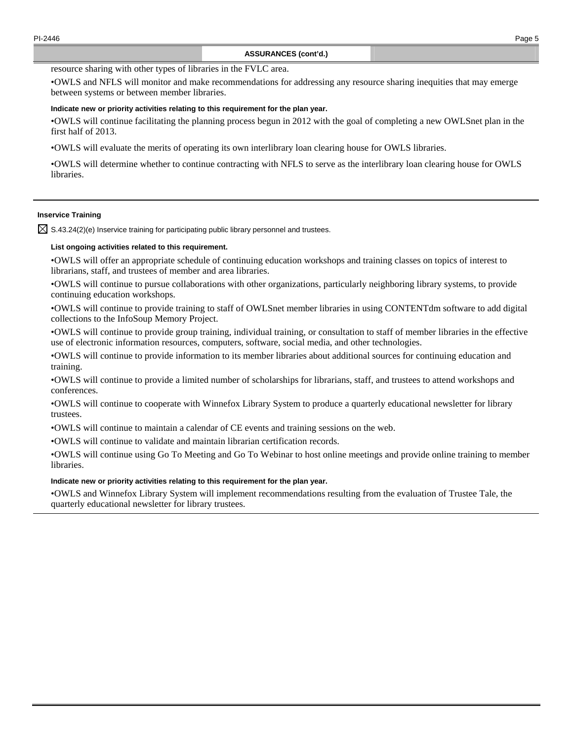resource sharing with other types of libraries in the FVLC area.

• OWLS and NFLS will monitor and make recommendations for addressing any resource sharing inequities that may emerge between systems or between member libraries.

## **Indicate new or priority activities relating to this requirement for the plan year.**

• OWLS will continue facilitating the planning process begun in 2012 with the goal of completing a new OWLSnet plan in the first half of 2013.

• OWLS will evaluate the merits of operating its own interlibrary loan clearing house for OWLS libraries.

• OWLS will determine whether to continue contracting with NFLS to serve as the interlibrary loan clearing house for OWLS libraries.

# **Inservice Training**

 $\boxtimes$  S.43.24(2)(e) Inservice training for participating public library personnel and trustees.

## **List ongoing activities related to this requirement.**

• OWLS will offer an appropriate schedule of continuing education workshops and training classes on topics of interest to librarians, staff, and trustees of member and area libraries.

• OWLS will continue to pursue collaborations with other organizations, particularly neighboring library systems, to provide continuing education workshops.

• OWLS will continue to provide training to staff of OWLSnet member libraries in using CONTENTdm software to add digital collections to the InfoSoup Memory Project.

• OWLS will continue to provide group training, individual training, or consultation to staff of member libraries in the effective use of electronic information resources, computers, software, social media, and other technologies.

• OWLS will continue to provide information to its member libraries about additional sources for continuing education and training.

• OWLS will continue to provide a limited number of scholarships for librarians, staff, and trustees to attend workshops and conferences.

• OWLS will continue to cooperate with Winnefox Library System to produce a quarterly educational newsletter for library trustees.

• OWLS will continue to maintain a calendar of CE events and training sessions on the web.

• OWLS will continue to validate and maintain librarian certification records.

• OWLS will continue using Go To Meeting and Go To Webinar to host online meetings and provide online training to member libraries.

## **Indicate new or priority activities relating to this requirement for the plan year.**

• OWLS and Winnefox Library System will implement recommendations resulting from the evaluation of Trustee Tale, the quarterly educational newsletter for library trustees.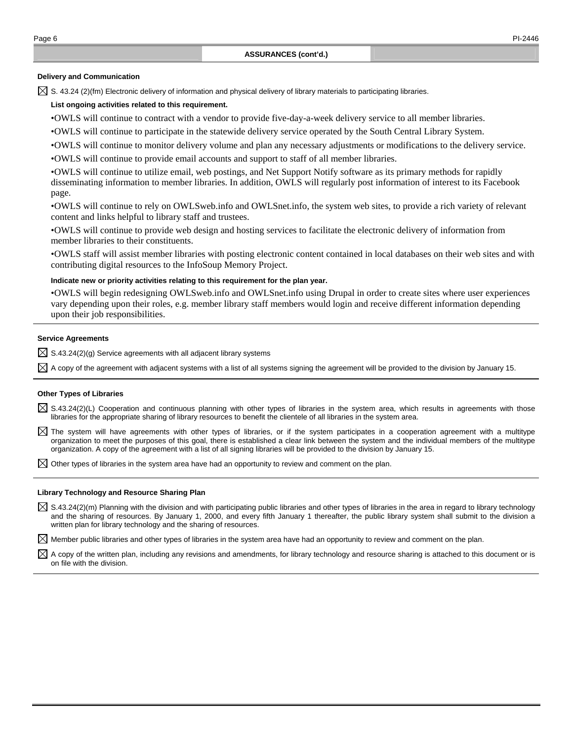## **Delivery and Communication**

 $\boxtimes$  S. 43.24 (2)(fm) Electronic delivery of information and physical delivery of library materials to participating libraries.

## **List ongoing activities related to this requirement.**

• OWLS will continue to contract with a vendor to provide five-day-a-week delivery service to all member libraries.

• OWLS will continue to participate in the statewide delivery service operated by the South Central Library System.

• OWLS will continue to monitor delivery volume and plan any necessary adjustments or modifications to the delivery service.

• OWLS will continue to provide email accounts and support to staff of all member libraries.

• OWLS will continue to utilize email, web postings, and Net Support Notify software as its primary methods for rapidly disseminating information to member libraries. In addition, OWLS will regularly post information of interest to its Facebook page.

• OWLS will continue to rely on OWLSweb.info and OWLSnet.info, the system web sites, to provide a rich variety of relevant content and links helpful to library staff and trustees.

• OWLS will continue to provide web design and hosting services to facilitate the electronic delivery of information from member libraries to their constituents.

• OWLS staff will assist member libraries with posting electronic content contained in local databases on their web sites and with contributing digital resources to the InfoSoup Memory Project.

#### **Indicate new or priority activities relating to this requirement for the plan year.**

• OWLS will begin redesigning OWLSweb.info and OWLSnet.info using Drupal in order to create sites where user experiences vary depending upon their roles, e.g. member library staff members would login and receive different information depending upon their job responsibilities.

## **Service Agreements**

 $\boxtimes$  S.43.24(2)(g) Service agreements with all adjacent library systems

 $\boxtimes$  A copy of the agreement with adjacent systems with a list of all systems signing the agreement will be provided to the division by January 15.

#### **Other Types of Libraries**

- $\boxtimes$  S.43.24(2)(L) Cooperation and continuous planning with other types of libraries in the system area, which results in agreements with those libraries for the appropriate sharing of library resources to benefit the clientele of all libraries in the system area.
- $\boxtimes$  The system will have agreements with other types of libraries, or if the system participates in a cooperation agreement with a multitype organization to meet the purposes of this goal, there is established a clear link between the system and the individual members of the multitype organization. A copy of the agreement with a list of all signing libraries will be provided to the division by January 15.

 $\boxtimes$  Other types of libraries in the system area have had an opportunity to review and comment on the plan.

### **Library Technology and Resource Sharing Plan**

 $\boxtimes$  S.43.24(2)(m) Planning with the division and with participating public libraries and other types of libraries in the area in regard to library technology and the sharing of resources. By January 1, 2000, and every fifth January 1 thereafter, the public library system shall submit to the division a written plan for library technology and the sharing of resources.

 $\boxtimes$  Member public libraries and other types of libraries in the system area have had an opportunity to review and comment on the plan.

 $\boxtimes$  A copy of the written plan, including any revisions and amendments, for library technology and resource sharing is attached to this document or is on file with the division.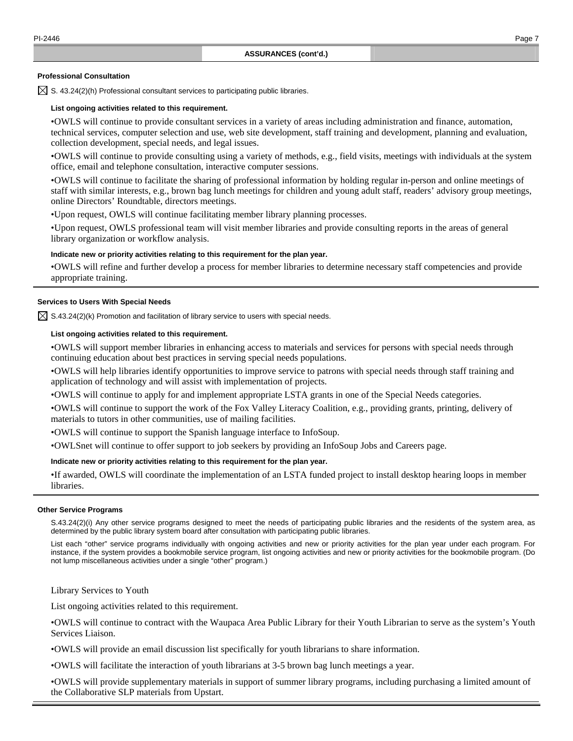## **Professional Consultation**

 $\boxtimes$  S. 43.24(2)(h) Professional consultant services to participating public libraries.

## **List ongoing activities related to this requirement.**

• OWLS will continue to provide consultant services in a variety of areas including administration and finance, automation, technical services, computer selection and use, web site development, staff training and development, planning and evaluation, collection development, special needs, and legal issues.

• OWLS will continue to provide consulting using a variety of methods, e.g., field visits, meetings with individuals at the system office, email and telephone consultation, interactive computer sessions.

• OWLS will continue to facilitate the sharing of professional information by holding regular in-person and online meetings of staff with similar interests, e.g., brown bag lunch meetings for children and young adult staff, readers' advisory group meetings, online Directors' Roundtable, directors meetings.

•Upon request, OWLS will continue facilitating member library planning processes.

• Upon request, OWLS professional team will visit member libraries and provide consulting reports in the areas of general library organization or workflow analysis.

## **Indicate new or priority activities relating to this requirement for the plan year.**

• OWLS will refine and further develop a process for member libraries to determine necessary staff competencies and provide appropriate training.

## **Services to Users With Special Needs**

 $\boxtimes$  S.43.24(2)(k) Promotion and facilitation of library service to users with special needs.

## **List ongoing activities related to this requirement.**

• OWLS will support member libraries in enhancing access to materials and services for persons with special needs through continuing education about best practices in serving special needs populations.

• OWLS will help libraries identify opportunities to improve service to patrons with special needs through staff training and application of technology and will assist with implementation of projects.

• OWLS will continue to apply for and implement appropriate LSTA grants in one of the Special Needs categories.

• OWLS will continue to support the work of the Fox Valley Literacy Coalition, e.g., providing grants, printing, delivery of materials to tutors in other communities, use of mailing facilities.

• OWLS will continue to support the Spanish language interface to InfoSoup.

• OWLSnet will continue to offer support to job seekers by providing an InfoSoup Jobs and Careers page.

## **Indicate new or priority activities relating to this requirement for the plan year.**

• If awarded, OWLS will coordinate the implementation of an LSTA funded project to install desktop hearing loops in member libraries.

## **Other Service Programs**

 S.43.24(2)(i) Any other service programs designed to meet the needs of participating public libraries and the residents of the system area, as determined by the public library system board after consultation with participating public libraries.

 List each "other" service programs individually with ongoing activities and new or priority activities for the plan year under each program. For instance, if the system provides a bookmobile service program, list ongoing activities and new or priority activities for the bookmobile program. (Do not lump miscellaneous activities under a single "other" program.)

Library Services to Youth

List ongoing activities related to this requirement.

• OWLS will continue to contract with the Waupaca Area Public Library for their Youth Librarian to serve as the system's Youth Services Liaison.

• OWLS will provide an email discussion list specifically for youth librarians to share information.

• OWLS will facilitate the interaction of youth librarians at 3-5 brown bag lunch meetings a year.

• OWLS will provide supplementary materials in support of summer library programs, including purchasing a limited amount of the Collaborative SLP materials from Upstart.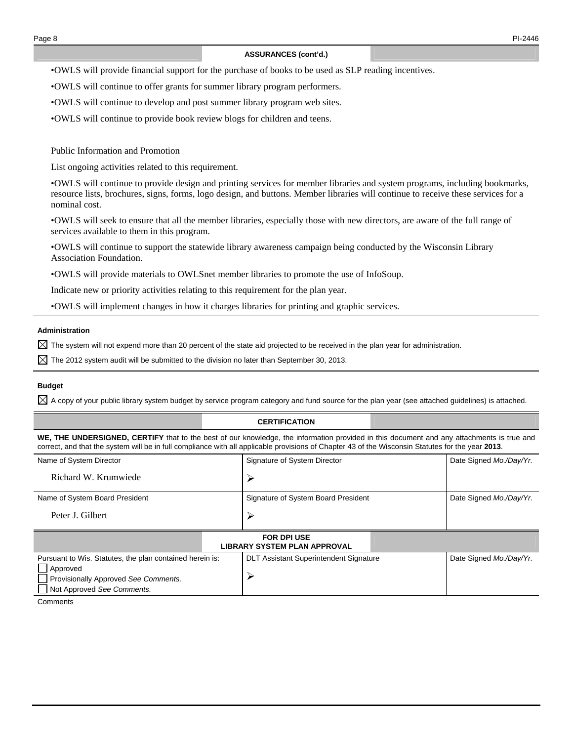## **ASSURANCES (cont'd.)**

• OWLS will provide financial support for the purchase of books to be used as SLP reading incentives.

• OWLS will continue to offer grants for summer library program performers.

• OWLS will continue to develop and post summer library program web sites.

• OWLS will continue to provide book review blogs for children and teens.

Public Information and Promotion

List ongoing activities related to this requirement.

• OWLS will continue to provide design and printing services for member libraries and system programs, including bookmarks, resource lists, brochures, signs, forms, logo design, and buttons. Member libraries will continue to receive these services for a nominal cost.

• OWLS will seek to ensure that all the member libraries, especially those with new directors, are aware of the full range of services available to them in this program.

• OWLS will continue to support the statewide library awareness campaign being conducted by the Wisconsin Library Association Foundation.

• OWLS will provide materials to OWLSnet member libraries to promote the use of InfoSoup.

Indicate new or priority activities relating to this requirement for the plan year.

• OWLS will implement changes in how it charges libraries for printing and graphic services.

## **Administration**

 $\boxtimes$  The system will not expend more than 20 percent of the state aid projected to be received in the plan year for administration.

 $\boxtimes$  The 2012 system audit will be submitted to the division no later than September 30, 2013.

## **Budget**

 $\boxtimes$  A copy of your public library system budget by service program category and fund source for the plan year (see attached quidelines) is attached.

## **CERTIFICATION**

**WE, THE UNDERSIGNED, CERTIFY** that to the best of our knowledge, the information provided in this document and any attachments is true and correct, and that the system will be in full compliance with all applicable provisions of Chapter 43 of the Wisconsin Statutes for the year **2013**.

| Name of System Director                                                                                                                    | Signature of System Director |                                                           |  | Date Signed Mo./Day/Yr. |
|--------------------------------------------------------------------------------------------------------------------------------------------|------------------------------|-----------------------------------------------------------|--|-------------------------|
| Richard W. Krumwiede                                                                                                                       |                              |                                                           |  |                         |
| Name of System Board President                                                                                                             |                              | Signature of System Board President                       |  | Date Signed Mo./Day/Yr. |
| Peter J. Gilbert                                                                                                                           |                              | ⋗                                                         |  |                         |
|                                                                                                                                            |                              | <b>FOR DPI USE</b><br><b>LIBRARY SYSTEM PLAN APPROVAL</b> |  |                         |
| Pursuant to Wis. Statutes, the plan contained herein is:<br>Approved<br>Provisionally Approved See Comments.<br>Not Approved See Comments. |                              | <b>DLT Assistant Superintendent Signature</b>             |  | Date Signed Mo./Day/Yr. |
| $O = 0.0000$                                                                                                                               |                              |                                                           |  |                         |

**Comments**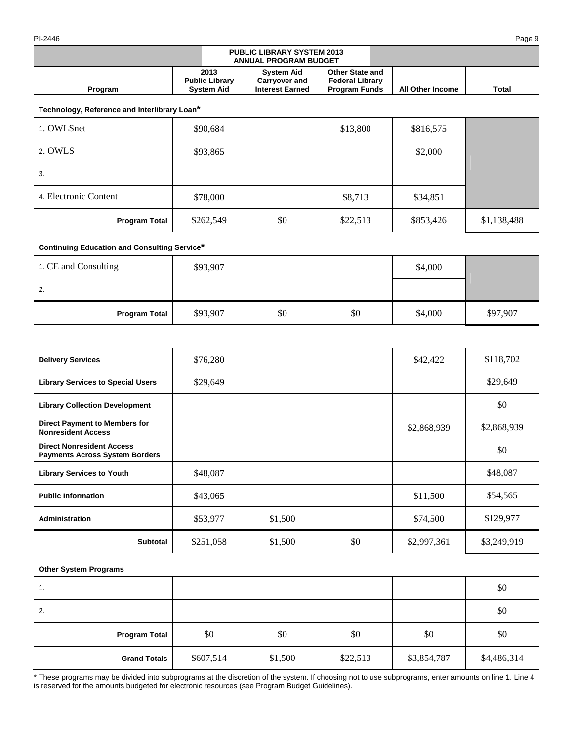#### PI-2446 Page 9

|                |                                                    | <b>PUBLIC LIBRARY SYSTEM 2013</b><br><b>ANNUAL PROGRAM BUDGET</b>   |                                                                          |                         |       |
|----------------|----------------------------------------------------|---------------------------------------------------------------------|--------------------------------------------------------------------------|-------------------------|-------|
| <b>Program</b> | 2013<br><b>Public Library</b><br><b>System Aid</b> | <b>System Aid</b><br><b>Carryover and</b><br><b>Interest Earned</b> | <b>Other State and</b><br><b>Federal Library</b><br><b>Program Funds</b> | <b>All Other Income</b> | Total |

**Technology, Reference and Interlibrary Loan\***

| 1. OWLSnet            | \$90,684  |     | \$13,800 | \$816,575 |             |
|-----------------------|-----------|-----|----------|-----------|-------------|
| 2. OWLS               | \$93,865  |     |          | \$2,000   |             |
| 3.                    |           |     |          |           |             |
| 4. Electronic Content | \$78,000  |     | \$8,713  | \$34,851  |             |
| <b>Program Total</b>  | \$262,549 | \$0 | \$22,513 | \$853,426 | \$1,138,488 |

# **Continuing Education and Consulting Service\***

| 1. CE and Consulting | \$93,907 |     |     | \$4,000 |          |
|----------------------|----------|-----|-----|---------|----------|
| 2.                   |          |     |     |         |          |
| <b>Program Total</b> | \$93,907 | \$0 | \$0 | \$4,000 | \$97,907 |

| <b>Delivery Services</b>                                                  | \$76,280  |         |     | \$42,422    | \$118,702   |
|---------------------------------------------------------------------------|-----------|---------|-----|-------------|-------------|
| <b>Library Services to Special Users</b>                                  | \$29,649  |         |     |             | \$29,649    |
| <b>Library Collection Development</b>                                     |           |         |     |             | \$0         |
| <b>Direct Payment to Members for</b><br><b>Nonresident Access</b>         |           |         |     | \$2,868,939 | \$2,868,939 |
| <b>Direct Nonresident Access</b><br><b>Payments Across System Borders</b> |           |         |     |             | \$0         |
| <b>Library Services to Youth</b>                                          | \$48,087  |         |     |             | \$48,087    |
| <b>Public Information</b>                                                 | \$43,065  |         |     | \$11,500    | \$54,565    |
| Administration                                                            | \$53,977  | \$1,500 |     | \$74,500    | \$129,977   |
| <b>Subtotal</b>                                                           | \$251,058 | \$1,500 | \$0 | \$2,997,361 | \$3,249,919 |

## **Other System Programs**

| 1.<br>ι.             |           |         |          |             | \$0         |
|----------------------|-----------|---------|----------|-------------|-------------|
| 2.                   |           |         |          |             | \$0         |
| <b>Program Total</b> | \$0       | \$0     | \$0      | \$0         | \$0         |
| <b>Grand Totals</b>  | \$607,514 | \$1,500 | \$22,513 | \$3,854,787 | \$4,486,314 |

\* These programs may be divided into subprograms at the discretion of the system. If choosing not to use subprograms, enter amounts on line 1. Line 4 is reserved for the amounts budgeted for electronic resources (see Program Budget Guidelines).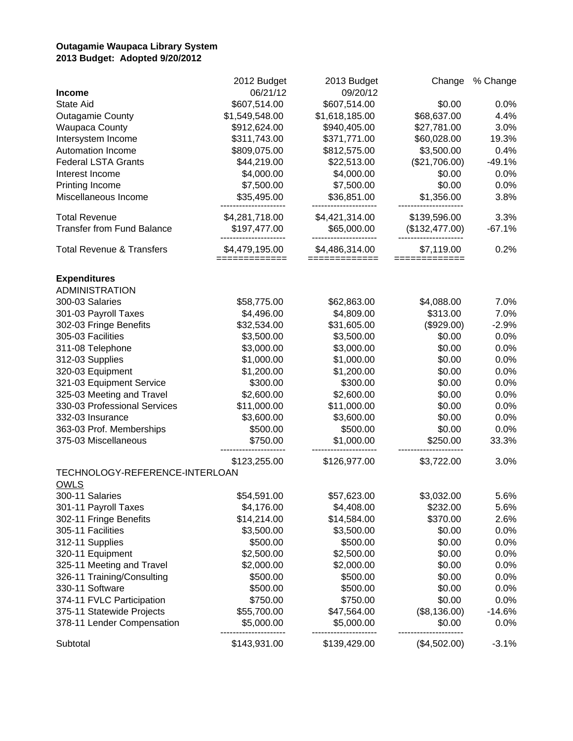# **Outagamie Waupaca Library System 2013 Budget: Adopted 9/20/2012**

|                                      | 2012 Budget    | 2013 Budget    | Change         | % Change |
|--------------------------------------|----------------|----------------|----------------|----------|
| <b>Income</b>                        | 06/21/12       | 09/20/12       |                |          |
| <b>State Aid</b>                     | \$607,514.00   | \$607,514.00   | \$0.00         | 0.0%     |
| <b>Outagamie County</b>              | \$1,549,548.00 | \$1,618,185.00 | \$68,637.00    | 4.4%     |
| <b>Waupaca County</b>                | \$912,624.00   | \$940,405.00   | \$27,781.00    | 3.0%     |
| Intersystem Income                   | \$311,743.00   | \$371,771.00   | \$60,028.00    | 19.3%    |
| Automation Income                    | \$809,075.00   | \$812,575.00   | \$3,500.00     | 0.4%     |
| <b>Federal LSTA Grants</b>           | \$44,219.00    | \$22,513.00    | (\$21,706.00)  | $-49.1%$ |
| Interest Income                      | \$4,000.00     | \$4,000.00     | \$0.00         | 0.0%     |
| Printing Income                      | \$7,500.00     | \$7,500.00     | \$0.00         | 0.0%     |
| Miscellaneous Income                 | \$35,495.00    | \$36,851.00    | \$1,356.00     | 3.8%     |
| <b>Total Revenue</b>                 | \$4,281,718.00 | \$4,421,314.00 | \$139,596.00   | 3.3%     |
| <b>Transfer from Fund Balance</b>    | \$197,477.00   | \$65,000.00    | (\$132,477.00) | $-67.1%$ |
| <b>Total Revenue &amp; Transfers</b> | \$4,479,195.00 | \$4,486,314.00 | \$7,119.00     | 0.2%     |
| <b>Expenditures</b>                  |                |                |                |          |
| <b>ADMINISTRATION</b>                |                |                |                |          |
| 300-03 Salaries                      | \$58,775.00    | \$62,863.00    | \$4,088.00     | 7.0%     |
| 301-03 Payroll Taxes                 | \$4,496.00     | \$4,809.00     | \$313.00       | 7.0%     |
| 302-03 Fringe Benefits               | \$32,534.00    | \$31,605.00    | (\$929.00)     | $-2.9%$  |
| 305-03 Facilities                    | \$3,500.00     | \$3,500.00     | \$0.00         | 0.0%     |
| 311-08 Telephone                     | \$3,000.00     | \$3,000.00     | \$0.00         | 0.0%     |
| 312-03 Supplies                      | \$1,000.00     | \$1,000.00     | \$0.00         | 0.0%     |
| 320-03 Equipment                     | \$1,200.00     | \$1,200.00     | \$0.00         | 0.0%     |
| 321-03 Equipment Service             | \$300.00       | \$300.00       | \$0.00         | 0.0%     |
| 325-03 Meeting and Travel            | \$2,600.00     | \$2,600.00     | \$0.00         | 0.0%     |
| 330-03 Professional Services         | \$11,000.00    | \$11,000.00    | \$0.00         | 0.0%     |
| 332-03 Insurance                     | \$3,600.00     | \$3,600.00     | \$0.00         | 0.0%     |
| 363-03 Prof. Memberships             | \$500.00       | \$500.00       | \$0.00         | 0.0%     |
| 375-03 Miscellaneous                 | \$750.00       | \$1,000.00     | \$250.00       | 33.3%    |
|                                      | \$123,255.00   | \$126,977.00   | \$3,722.00     | 3.0%     |
| TECHNOLOGY-REFERENCE-INTERLOAN       |                |                |                |          |
| <b>OWLS</b>                          |                |                |                |          |
| 300-11 Salaries                      | \$54,591.00    | \$57,623.00    | \$3,032.00     | 5.6%     |
| 301-11 Payroll Taxes                 | \$4,176.00     | \$4,408.00     | \$232.00       | 5.6%     |
| 302-11 Fringe Benefits               | \$14,214.00    | \$14,584.00    | \$370.00       | 2.6%     |
| 305-11 Facilities                    | \$3,500.00     | \$3,500.00     | \$0.00         | 0.0%     |
| 312-11 Supplies                      | \$500.00       | \$500.00       | \$0.00         | 0.0%     |
| 320-11 Equipment                     | \$2,500.00     | \$2,500.00     | \$0.00         | 0.0%     |
| 325-11 Meeting and Travel            | \$2,000.00     | \$2,000.00     | \$0.00         | 0.0%     |
| 326-11 Training/Consulting           | \$500.00       | \$500.00       | \$0.00         | 0.0%     |
| 330-11 Software                      | \$500.00       | \$500.00       | \$0.00         | 0.0%     |
| 374-11 FVLC Participation            | \$750.00       | \$750.00       | \$0.00         | 0.0%     |
| 375-11 Statewide Projects            | \$55,700.00    | \$47,564.00    | (\$8,136.00)   | $-14.6%$ |
| 378-11 Lender Compensation           | \$5,000.00     | \$5,000.00     | \$0.00         | 0.0%     |
| Subtotal                             | \$143,931.00   | \$139,429.00   | (\$4,502.00)   | $-3.1%$  |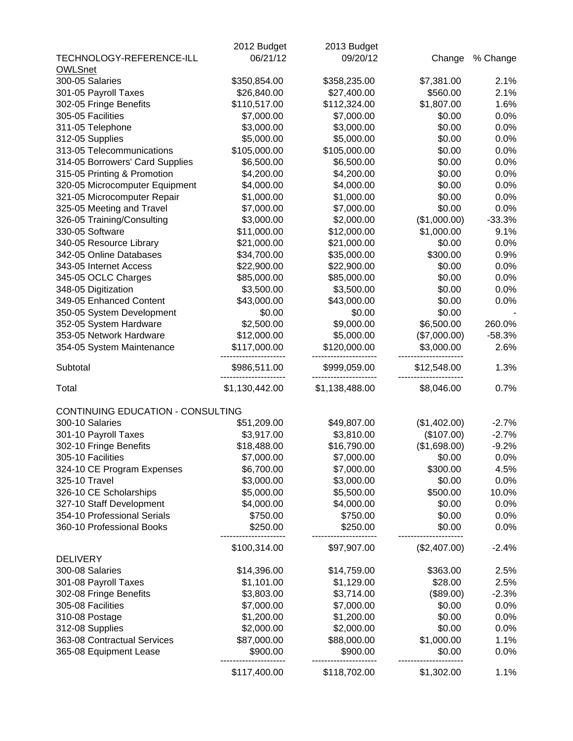|                                   | 2012 Budget    | 2013 Budget    |              |          |
|-----------------------------------|----------------|----------------|--------------|----------|
| TECHNOLOGY-REFERENCE-ILL          | 06/21/12       | 09/20/12       | Change       | % Change |
| <b>OWLSnet</b>                    |                |                |              |          |
| 300-05 Salaries                   | \$350,854.00   | \$358,235.00   | \$7,381.00   | 2.1%     |
| 301-05 Payroll Taxes              | \$26,840.00    | \$27,400.00    | \$560.00     | 2.1%     |
| 302-05 Fringe Benefits            | \$110,517.00   | \$112,324.00   | \$1,807.00   | 1.6%     |
| 305-05 Facilities                 | \$7,000.00     | \$7,000.00     | \$0.00       | 0.0%     |
| 311-05 Telephone                  | \$3,000.00     | \$3,000.00     | \$0.00       | 0.0%     |
| 312-05 Supplies                   | \$5,000.00     | \$5,000.00     | \$0.00       | 0.0%     |
| 313-05 Telecommunications         | \$105,000.00   | \$105,000.00   | \$0.00       | 0.0%     |
| 314-05 Borrowers' Card Supplies   | \$6,500.00     | \$6,500.00     | \$0.00       | 0.0%     |
| 315-05 Printing & Promotion       | \$4,200.00     | \$4,200.00     | \$0.00       | 0.0%     |
| 320-05 Microcomputer Equipment    | \$4,000.00     | \$4,000.00     | \$0.00       | 0.0%     |
| 321-05 Microcomputer Repair       | \$1,000.00     | \$1,000.00     | \$0.00       | 0.0%     |
| 325-05 Meeting and Travel         | \$7,000.00     | \$7,000.00     | \$0.00       | 0.0%     |
| 326-05 Training/Consulting        | \$3,000.00     | \$2,000.00     | (\$1,000.00) | $-33.3%$ |
| 330-05 Software                   | \$11,000.00    | \$12,000.00    | \$1,000.00   | 9.1%     |
| 340-05 Resource Library           | \$21,000.00    | \$21,000.00    | \$0.00       | 0.0%     |
| 342-05 Online Databases           | \$34,700.00    | \$35,000.00    | \$300.00     | 0.9%     |
| 343-05 Internet Access            | \$22,900.00    | \$22,900.00    | \$0.00       | 0.0%     |
| 345-05 OCLC Charges               | \$85,000.00    | \$85,000.00    | \$0.00       | 0.0%     |
| 348-05 Digitization               | \$3,500.00     | \$3,500.00     | \$0.00       | 0.0%     |
| 349-05 Enhanced Content           | \$43,000.00    | \$43,000.00    | \$0.00       | 0.0%     |
| 350-05 System Development         | \$0.00         | \$0.00         | \$0.00       |          |
| 352-05 System Hardware            | \$2,500.00     | \$9,000.00     | \$6,500.00   | 260.0%   |
| 353-05 Network Hardware           | \$12,000.00    | \$5,000.00     | (\$7,000.00) | $-58.3%$ |
| 354-05 System Maintenance         | \$117,000.00   | \$120,000.00   | \$3,000.00   | 2.6%     |
|                                   |                |                |              |          |
| Subtotal                          | \$986,511.00   | \$999,059.00   | \$12,548.00  | 1.3%     |
| Total                             | \$1,130,442.00 | \$1,138,488.00 | \$8,046.00   | 0.7%     |
| CONTINUING EDUCATION - CONSULTING |                |                |              |          |
| 300-10 Salaries                   | \$51,209.00    | \$49,807.00    | (\$1,402.00) | $-2.7%$  |
| 301-10 Payroll Taxes              | \$3,917.00     | \$3,810.00     | (\$107.00)   | $-2.7%$  |
| 302-10 Fringe Benefits            | \$18,488.00    | \$16,790.00    | (\$1,698.00) | $-9.2%$  |
| 305-10 Facilities                 | \$7,000.00     | \$7,000.00     | \$0.00       | 0.0%     |
| 324-10 CE Program Expenses        | \$6,700.00     | \$7,000.00     | \$300.00     | 4.5%     |
| 325-10 Travel                     | \$3,000.00     | \$3,000.00     | \$0.00       | 0.0%     |
| 326-10 CE Scholarships            | \$5,000.00     | \$5,500.00     | \$500.00     | 10.0%    |
| 327-10 Staff Development          | \$4,000.00     | \$4,000.00     | \$0.00       | 0.0%     |
| 354-10 Professional Serials       | \$750.00       | \$750.00       | \$0.00       | 0.0%     |
| 360-10 Professional Books         | \$250.00       | \$250.00       | \$0.00       | 0.0%     |
|                                   | \$100,314.00   | \$97,907.00    | (\$2,407.00) | $-2.4%$  |
| <b>DELIVERY</b>                   |                |                |              |          |
| 300-08 Salaries                   | \$14,396.00    | \$14,759.00    | \$363.00     | 2.5%     |
| 301-08 Payroll Taxes              | \$1,101.00     | \$1,129.00     | \$28.00      | 2.5%     |
| 302-08 Fringe Benefits            | \$3,803.00     | \$3,714.00     | (\$89.00)    | $-2.3%$  |
| 305-08 Facilities                 | \$7,000.00     | \$7,000.00     | \$0.00       | 0.0%     |
| 310-08 Postage                    | \$1,200.00     | \$1,200.00     | \$0.00       | 0.0%     |
| 312-08 Supplies                   | \$2,000.00     | \$2,000.00     | \$0.00       | 0.0%     |
| 363-08 Contractual Services       | \$87,000.00    | \$88,000.00    | \$1,000.00   | 1.1%     |
| 365-08 Equipment Lease            | \$900.00       | \$900.00       | \$0.00       | 0.0%     |
|                                   | \$117,400.00   | \$118,702.00   | \$1,302.00   | 1.1%     |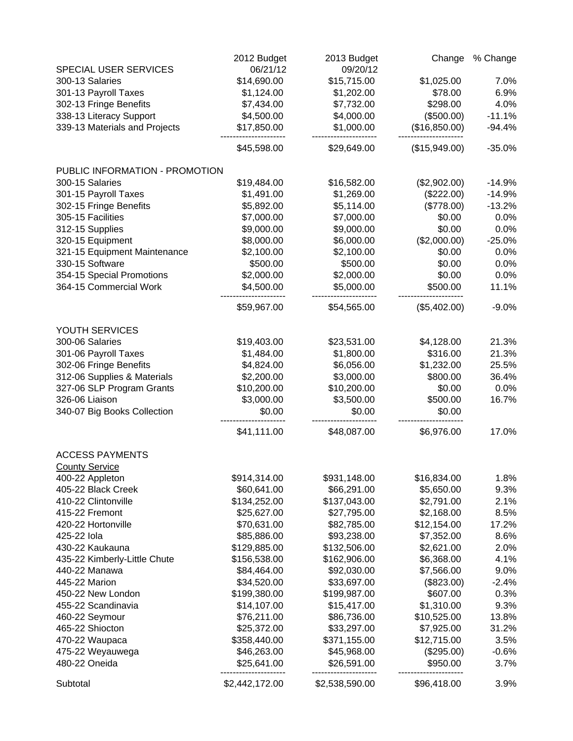|                                | 2012 Budget    | 2013 Budget    | Change        | % Change |
|--------------------------------|----------------|----------------|---------------|----------|
| SPECIAL USER SERVICES          | 06/21/12       | 09/20/12       |               |          |
| 300-13 Salaries                | \$14,690.00    | \$15,715.00    | \$1,025.00    | 7.0%     |
| 301-13 Payroll Taxes           | \$1,124.00     | \$1,202.00     | \$78.00       | 6.9%     |
| 302-13 Fringe Benefits         | \$7,434.00     | \$7,732.00     | \$298.00      | 4.0%     |
| 338-13 Literacy Support        | \$4,500.00     | \$4,000.00     | (\$500.00)    | $-11.1%$ |
| 339-13 Materials and Projects  | \$17,850.00    | \$1,000.00     | (\$16,850.00) | $-94.4%$ |
|                                | \$45,598.00    | \$29,649.00    | (\$15,949.00) | $-35.0%$ |
| PUBLIC INFORMATION - PROMOTION |                |                |               |          |
| 300-15 Salaries                | \$19,484.00    | \$16,582.00    | (\$2,902.00)  | $-14.9%$ |
| 301-15 Payroll Taxes           | \$1,491.00     | \$1,269.00     | (\$222.00)    | $-14.9%$ |
| 302-15 Fringe Benefits         | \$5,892.00     | \$5,114.00     | (\$778.00)    | $-13.2%$ |
| 305-15 Facilities              | \$7,000.00     | \$7,000.00     | \$0.00        | 0.0%     |
| 312-15 Supplies                | \$9,000.00     | \$9,000.00     | \$0.00        | 0.0%     |
| 320-15 Equipment               | \$8,000.00     | \$6,000.00     | (\$2,000.00)  | $-25.0%$ |
| 321-15 Equipment Maintenance   | \$2,100.00     | \$2,100.00     | \$0.00        | 0.0%     |
| 330-15 Software                | \$500.00       | \$500.00       | \$0.00        | 0.0%     |
| 354-15 Special Promotions      | \$2,000.00     | \$2,000.00     | \$0.00        | 0.0%     |
| 364-15 Commercial Work         | \$4,500.00     | \$5,000.00     | \$500.00      | 11.1%    |
|                                | \$59,967.00    | \$54,565.00    | (\$5,402.00)  | $-9.0%$  |
| YOUTH SERVICES                 |                |                |               |          |
| 300-06 Salaries                | \$19,403.00    | \$23,531.00    | \$4,128.00    | 21.3%    |
| 301-06 Payroll Taxes           | \$1,484.00     | \$1,800.00     | \$316.00      | 21.3%    |
| 302-06 Fringe Benefits         | \$4,824.00     | \$6,056.00     | \$1,232.00    | 25.5%    |
| 312-06 Supplies & Materials    | \$2,200.00     | \$3,000.00     | \$800.00      | 36.4%    |
| 327-06 SLP Program Grants      | \$10,200.00    | \$10,200.00    | \$0.00        | 0.0%     |
| 326-06 Liaison                 | \$3,000.00     | \$3,500.00     | \$500.00      | 16.7%    |
| 340-07 Big Books Collection    | \$0.00         | \$0.00         | \$0.00        |          |
|                                | \$41,111.00    | \$48,087.00    | \$6,976.00    | 17.0%    |
| <b>ACCESS PAYMENTS</b>         |                |                |               |          |
| <b>County Service</b>          |                |                |               |          |
| 400-22 Appleton                | \$914,314.00   | \$931,148.00   | \$16,834.00   | 1.8%     |
| 405-22 Black Creek             | \$60,641.00    | \$66,291.00    | \$5,650.00    | 9.3%     |
| 410-22 Clintonville            | \$134,252.00   | \$137,043.00   | \$2,791.00    | 2.1%     |
| 415-22 Fremont                 | \$25,627.00    | \$27,795.00    | \$2,168.00    | 8.5%     |
| 420-22 Hortonville             | \$70,631.00    | \$82,785.00    | \$12,154.00   | 17.2%    |
| 425-22 lola                    | \$85,886.00    | \$93,238.00    | \$7,352.00    | 8.6%     |
| 430-22 Kaukauna                | \$129,885.00   | \$132,506.00   | \$2,621.00    | 2.0%     |
| 435-22 Kimberly-Little Chute   | \$156,538.00   | \$162,906.00   | \$6,368.00    | 4.1%     |
| 440-22 Manawa                  | \$84,464.00    | \$92,030.00    | \$7,566.00    | 9.0%     |
| 445-22 Marion                  | \$34,520.00    | \$33,697.00    | (\$823.00)    | $-2.4%$  |
| 450-22 New London              | \$199,380.00   | \$199,987.00   | \$607.00      | 0.3%     |
| 455-22 Scandinavia             | \$14,107.00    | \$15,417.00    | \$1,310.00    | 9.3%     |
| 460-22 Seymour                 | \$76,211.00    | \$86,736.00    | \$10,525.00   | 13.8%    |
| 465-22 Shiocton                | \$25,372.00    | \$33,297.00    | \$7,925.00    | 31.2%    |
| 470-22 Waupaca                 | \$358,440.00   | \$371,155.00   | \$12,715.00   | 3.5%     |
| 475-22 Weyauwega               | \$46,263.00    | \$45,968.00    | (\$295.00)    | $-0.6%$  |
| 480-22 Oneida                  | \$25,641.00    | \$26,591.00    | \$950.00      | 3.7%     |
| Subtotal                       | \$2,442,172.00 | \$2,538,590.00 | \$96,418.00   | 3.9%     |